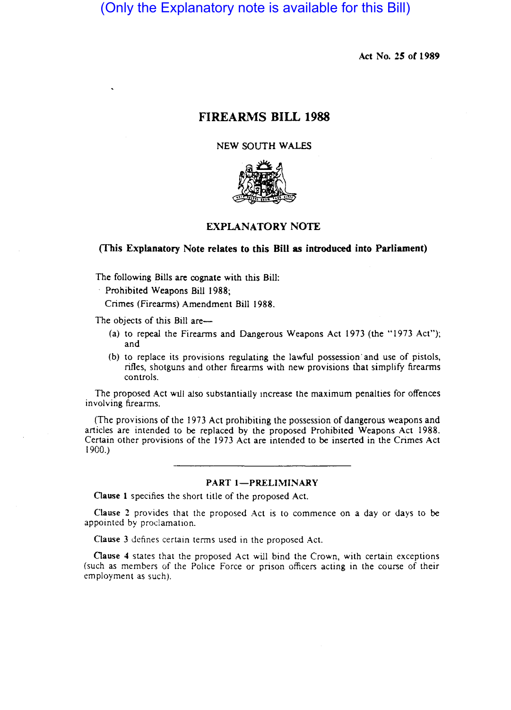# (Only the Explanatory note is available for this Bill)

Act No. 2S or 1989

## FIREARMS BILL 1988

NEW SOUTH WALES



## EXPLANATORY NOTE

#### (This Explanatory Note relates to this Bill as introduced into Parliament)

The following Bills are cognate with this Bill:

Prohibited Weapons Bill 1988;

Crimes (Firearms) Amendment Bill 1988.

The objects of this Bill are-

- (a) to repeal the Firearms and Dangerous Weapons Act 1973 (the "1973 Act"); and
- (b) to replace its provisions regulating the lawful possession· and use of pistols, rifles, shotguns and other firearms with new provisions that simplify firearms controls.

The proposed Act wIll also substantially Increase the maximum penalties for offences involving firearms.

(The provisions of the 1973 Act prohibiting the possession of dangerous weapons and articles are intended to be replaced by the proposed Prohibited Weapons Act 1988. Certain other provisions of the 1973 Act are intended to be inserted in the Crimes Act 1900.)

## PART 1-PRELIMINARY

Clause 1 specifies the short title of the proposed Act.

Clause 2 provides that the proposed Act is to commence on a day or days to be appointed by proclamation.

Clause 3 defines certain terms used in the proposed Act.

Clause 4 states that the proposed Act will bind the Crown, with certain exceptions (such as members of the Police Force or prison officers acting in the course of their employment as such).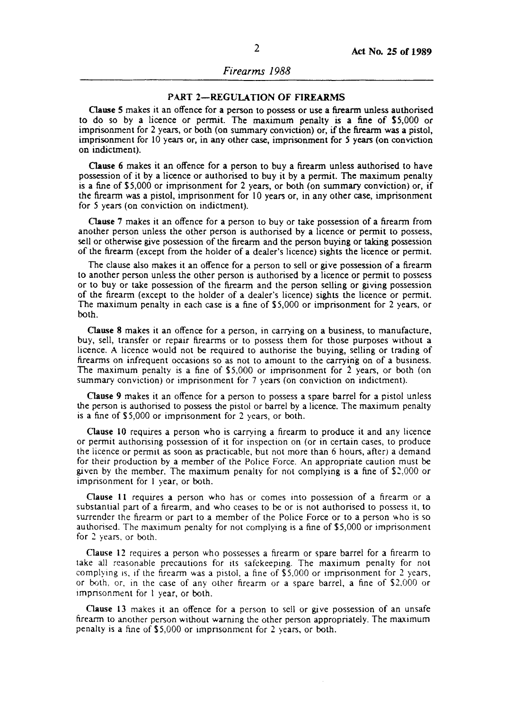## PART 2-REGULATION OF FIREARMS

Clause S makes it an offence for a person to possess or use a firearm unless authorised to do so by a licence or permit. The maximum penalty is a fine of \$5,000 or imprisonment for 2 years, or both (on summary conviction) or, if the firearm was a pistol, imprisonment for 10 years or, in any other case, imprisonment for 5 years (on conviction on indictment).

Clause 6 makes it an offence for a person to buy a fireann unless authorised to have possession of it by a licence or authorised to buy it by a pennit. The maximum penalty is a fine of \$5,000 or imprisonment for 2 years, or both (on summary conviction) or, if the fireann was a pistol, imprisonment for 10 years or, in any other case, imprisonment for 5 years (on conviction on indictment).

Clause 7 makes it an offence for a person to buy or take possession of a fireann from another person unless the other person is authorised by a licence or pennit to possess, sell or otherwise give possession of the firearm and the person buying or taking possession of the fireann (except from the holder of a dealer's licence) sights the licence or pennit.

The clause also makes it an offence for a person to sell or give possession of a fireann to another person unless the other person is authorised by a licence or pennit to possess or to buy or take possession of the fireann and the person selling or giving possession of the fire ann (except to the holder of a dealer's licence) sights the licence or pennit. The maximum penalty in each case is a fine of \$5,000 or imprisonment for 2 years, or both.

Clause 8 makes it an offence for a person, in carrying on a business, to manufacture, buy, sell, transfer or repair firearms or to possess them for those purposes without a licence. A licence would not be required to authorise the buying, selling or trading of fireanns on infrequent occasions so as not to amount to the carrying on of a business. The maximum penalty is a fine of  $$5,000$  or imprisonment for 2 years, or both (on summary conviction) or imprisonment for 7 years (on conviction on indictment).

Clause 9 makes it an offence for a person to possess a spare barrel for a pistol unless the person is authorised to possess the pistol or barrel by a licence. The maximum penalty is a fine of \$ 5,000 or imprisonment for 2 years, or both.

Clause 10 requires a person who is carrying a fireann to produce it and any licence or pennit authorising possession of it for inspection on (or in certain cases, to produce the iicence or pennit as soon as practicable, but not more than 6 hours, after) a demand for their production by a member of the Police Force. An appropriate caution must be given by the member. The maximum penalty for not complying is a fine of \$2,000 or imprisonment for I year, or both.

Clause 11 requires a person who has or comes into possession of a firearm or a substantial part of a firearm, and who ceases to be or is not authorised to possess it, to surrender the firearm or part to a member of the Police Force or to a person who is so authorised. The maximum penalty for not complying is a fine of \$5,000 or imprisonment for 2 years, or both.

Clause 12 requires a person who possesses a fireann or spare barrel for a fireann to take all reasonable precautions for its safekeeping. The maximum penalty for not complying is, if the firearm was a pistol, a fine of \$5,000 or imprisonment for 2 years, or both, or, in the case of any other fireann or a spare barrel, a fine of \$2.000 or Impnsonment for I year, or both.

Clause 13 makes it an offence for a person to sell or give possession of an unsafe firearm to another person without warning the other person appropriately. The maximum penalty is a fine of \$ 5,000 or imprisonment for 2 years, or both.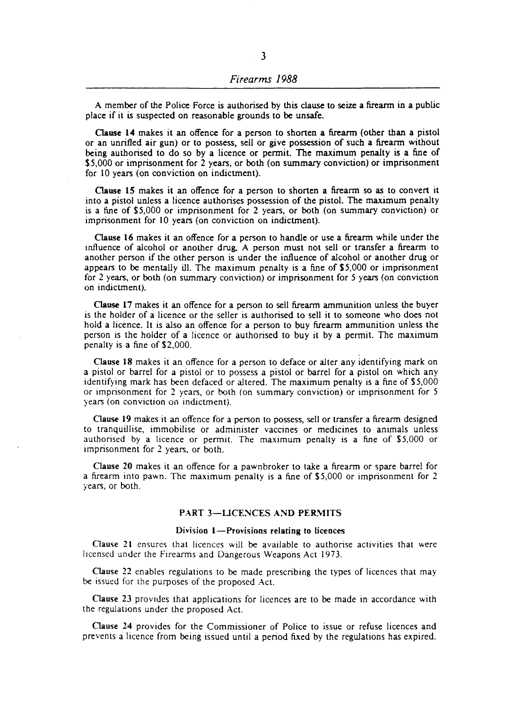A member of the Police Force is authorised by this clause to seize a firearm in a public place if it is suspected on reasonable grounds to be unsafe.

Clause **14** makes it an offence for a person to shorten a fireann (other than a pistol or an unrifled air gun) or to possess, *sell* or give possession of such a fireann without being authorised to do so by a licence or pennit. The maximum penalty is a fine of \$5,000 or imprisonment for 2 years, or both (on summary conviction) or imprisonment for 10 years (on conviction on indictment).

Clause 15 makes it an offence for a person to shorten a fireann so as to convert it into a pistol unless a licence authorises possession of the pistol. The maximum penalty is a fine of \$5,000 or imprisonment for 2 years, or both (on summary conviction) or imprisonment for 10 years (on conviction on indictment).

Clause 16 makes it an offence for a person to handle or use a fireann while under the influence of alcohol or another drug. A person must not sell or transfer a fireann to another person if the other person is under the influence of alcohol or another drug or appears to be mentally ill. The maximum penalty is a fine of \$5,000 or imprisonment for 2 years, or both (on summary conviction) or imprisonment for 5 years (on conviction on indictment).

Clause 17 makes it an offence for a person to sell firearm ammunition unless the buyer is the holder of a licence or the seller is authorised to sell it to someone who does not hold a licence. It is also an offence for a person to buy firearm ammunition unless the person is the holder of a licence or authorised to buy it by a pennit. The maximum penalty is a fine of \$2,000.

Clause 18 makes it an offence for a person to deface or alter any identifying mark on a pistol or barrel for a pistol or to possess a pistol or barrel for a pistol on which any identifying mark has been defaced or altered. The maximum penalty is a fine of \$5,000 or imprisonment for 2 years, or both (on summary conviction) or imprisonment for 5 years (on conviction on indictment).

Oause 19 makes it an offence for a person to possess, sell or transfer a firearm designed to tranquillise, immobilise or administer vaccines or medicines to animals unless authorised by a licence or permit. The maximum penalty is a fine of \$5,000 or imprisonment for 2 years, or both.

Clause 20 makes it an offence for a pawnbroker to take a fireann or spare barrel for a firearm into pawn. The maximum penalty is a fine of \$5,000 or imprisonment for 2 years, or both.

## PART 3-LICENCES AND PERMITS

#### Division  $1$ -Provisions relating to licences

Clause 21 ensures that licences will be available to authorise activities that were licensed under the Firearms and Dangerous Weapons Act 1973.

Clause 22 enables regulations to be made prescribing the types of licences that may be issued for the purposes of the proposed Act.

Clause 23 provides that applications for licences are to be made in accordance with the regulations under the proposed Act.

Clause 14 provides for the Commissioner of Police to issue or refuse licences and prevents a licence from being issued until a period fixed by the regulations has expired.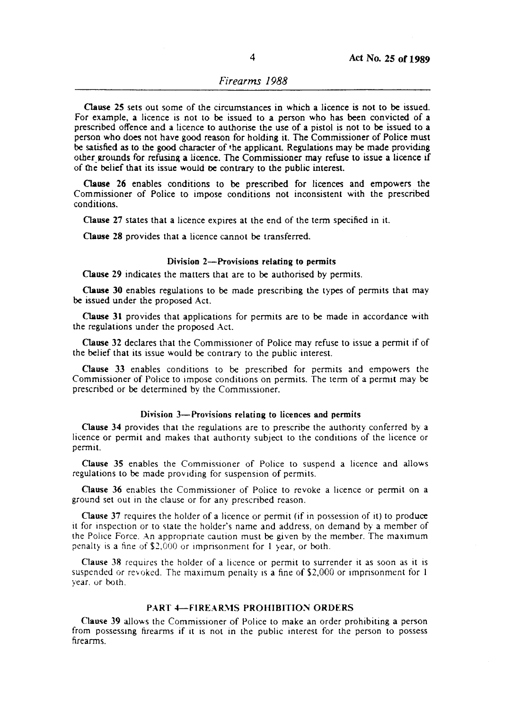Oause 25 sets out some of the circumstances in which a licence is not to be issued. For example, a licence is not to be issued to a person who has been convicted of a prescribed offence and a licence to authorise the use of a pistol is not to be issued to a person who does not have good reason for holding it. The Commissioner of Police must be satisfied as to the good character of the applicant. Regulations may be made providing other grounds for refusing a licence. The Commissioner may refuse to issue a licence if of the belief that its issue would De contrary to the public interest.

Clause 26 enables conditions to be prescribed for licences and empowers the Commissioner of Police to impose conditions not inconsistent with the prescribed conditions.

Clause 27 states that a licence expires at the end of the term specified in it.

Clause 28 provides that a licence cannot be transferred.

## Division 2-Provisions relating to permits

Oause 29 indicates the matters that are to be authorised by permits.

Clause 30 enables regulations to be made prescribing the types of permits that may be issued under the proposed Act.

Oause 31 provides that applications for permits are to be made in accordance with the regulations under the proposed Act.

Clause 32 declares that the Commissioner of Police may refuse to issue a permit if of the belief that its issue would be contrary to the public interest.

Clause 33 enables conditions to be prescribed for permits and empowers the Commissioner of Police to impose conditions on permits. The term of a permit may be prescribed or be determined by the Commissioner.

#### Division 3-Provisions relating to licences and permits

Oause 34 provides that the regulations are to prescribe the authority conferred by a licence or permit and makes that authonty subject to the conditions of the licence or permit.

Clause 35 enables the Commissioner of Police to suspend a licence and allows regulations to be made providing for suspension of permits.

Clause 36 enables the Commissioner of Police to revoke a licence or permit on a ground set out in the clause or for any prescribed reason.

Clause 37 requires the holder of a licence or permit (if in possession of it) to produce it for inspection or to state the holder's name and address, on demand by a member of the Police Force. An appropriate caution must be given by the member. The maximum penalty is a fine of \$2,000 or imprisonment for 1 year, or both.

Clause 38 requires the holder of a licence or permit to surrender it as soon as it is suspended or revoked. The maximum penalty is a fine of  $$2,000$  or imprisonment for 1 year. or both,

### PART 4-FIREARMS PROHIBITION ORDERS

Clause 39 allows the Commissioner of Police to make an order prohibiting a person from possessmg firearms if it is not in the public interest for the person to possess firearms.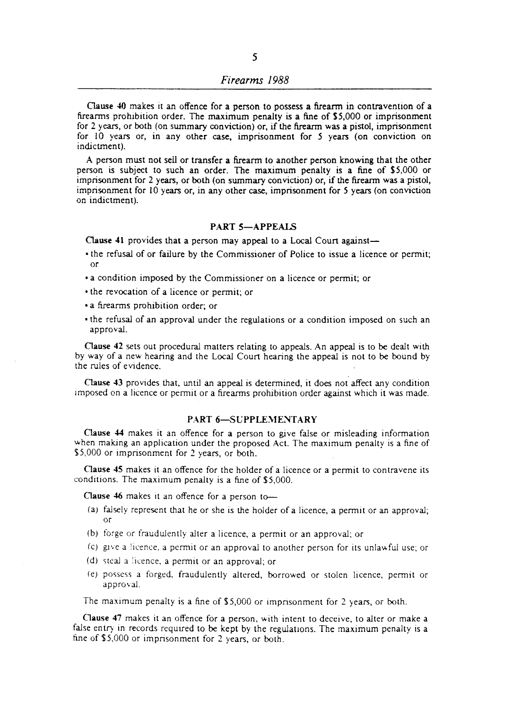Oause 40 makes it an offence for a person to possess a firearm in contravention of a firearms prohibition order. The maximum penalty is a fine of 55,000 or imprisonment for 2 years, or both (on summary conviction) or, if the firearm was a pistol, imprisonment for 10 years or, in any other case, imprisonment for 5 years (on conviction on indictment).

A person must not sell or transfer a firearm to another person knowing that the other person is subject to such an order. The maximum penalty is a fine of 55,000 or imprisonment for 2 years, or both (on summary conviction) or, if the firearm was a pistol, imprisonment for 10 years or, in any other case, imprisonment for 5 years (on conviction on indictment).

## PART 5-APPEALS

Clause 41 provides that a person may appeal to a Local Court against-

- the refusal of or failure by the Commissioner of Police to issue a licence or permit; or
- a condition imposed by the Commissioner on a licence or permit; or
- the revocation of a licence or permit; or
- a firearms prohibition order; or
- the refusal of an approval under the regulations or a condition imposed on such an approval.

Clause 42 sets out procedural matters relating to appeals. An appeal is to be dealt with by way of a new hearing and the Local Court hearing the appeal is not to be bound by the rules of evidence.

Oause 43 provides that, until an appeal is determined, it does not affect any condition imposed on a licence or permit or a firearms prohibition order against which it was made.

#### PART 6-SUPPLEMENTARY

Oause 44 makes it an offence for a person to give false or misleading information when making an application under the proposed Act. The maximum penalty is a fine of \$5,000 or imprisonment for 2 years, or both.

Clause 45 makes it an offence for the holder of a licence or a permit to contravene its conditions. The maximum penalty is a fine of \$5,000.

Clause 46 makes it an offence for a person to-

- (a) falsely represent that he or she is the holder of a licence, a permit or an approval; or
- (b) forge or fraudulently alter a licence, a permit or an approval; or
- (c) gne a lIcence. a permit or an approval to another person for its unlawful use; or
- (d) ~teal a licence, a permit or an approval; or
- I e) possess a forged. fraudulently altered, borrowed or stolen licence, permit or approval.

The maximum penalty is a fine of \$5,000 or imprisonment for 2 years, or both.

Oause 47 makes it an offence for a person, with intent to deceive, to alter or make a false entry in records required to be kept by the regulations. The maximum penalty is a fine of \$5,000 or imprisonment for 2 years, or both.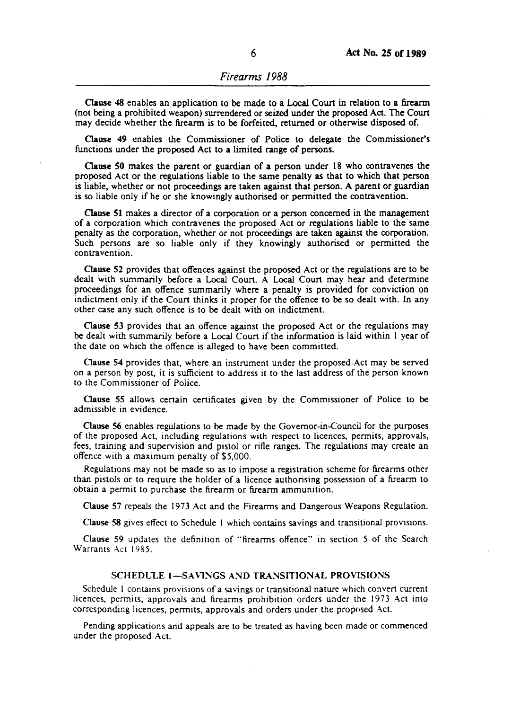Clause 48 enables an application to be made to a Local Court in relation to a firearm (not being a prohibited weapon) surrendered or seized under the proposed Act. The Court may decide whether the firearm is to be forfeited, returned or otherwise disposed of.

Oause 49 enables the Commissioner of Police to delegate the Commissioner's functions under the proposed Act to a limited range of persons.

Oause 50 makes the parent or guardian of a person under 18 who contravenes the proposed Act or the regulations liable to the same penalty as that to which that person is liable, whether or not proceedings are taken against that person. A parent or guardian is so liable only if he or she knowingly authorised or permitted the contravention.

Oause 51 makes a director of a corporation or a person concerned in the management of a corporation which contravenes the proposed Act or regulations liable to the same penalty as the corporation, whether or not proceedings are taken against the corporation. Such persons are so liable only if they knowingly authorised or permitted the contravention.

Oause 52 provides that offences against the proposed Act or the regulations are to be dealt with summarily before a Local Court. A Local Court may hear and determine proceedings for an offence summarily where a penalty is provided for conviction on indictment only if the Court thinks it proper for the offence to be so dealt with. In any other case any such offence is to be dealt with on indictment.

Clause 53 provides that an offence against the proposed Act or the regulations may be dealt with summarily before a Local Court if the information is laid within I year of the date on which the offence is alleged to have been committed.

Clause 54 provides that, where an instrument under the proposed Act may be served on a person by post, it is sufficient to address it to the last address of the person known to the Commissioner of Police.

Oause 5S allows certain certificates given by the Commissioner of Police to be admissible in evidence.

Oause 56 enables regulations to be made by the Governor-in-Council for the purposes of the proposed Act, including regulations with respect to licences, permits, approvals, fees, training and supervision and pistol or rifle ranges. The regulations may create an offence with a maximum penalty of \$5,000.

Regulations may not be made so as to impose a registration scheme for firearms other than pistols or to require the holder of a licence authorising possession of a firearm to obtain a permit to purchase the firearm or firearm ammunition.

Clause 57 repeals the 1973 Act and the Firearms and Dangerous Weapons Regulation.

Clause 58 gives effect to Schedule I which contains savings and transitional provisions.

Clause 59 updates the definition of "firearms offence" in section 5 of the Search Warrants Act 1985.

#### SCHEDULE 1-SAVINGS AND TRANSITIONAL PROVISIONS

Schedule 1 contains provisions of a savings or transitional nature which convert current licences, permits, approvals and firearms prohibition orders under the 1973 Act into corresponding licences, permits, approvals and orders under the proposed Act.

Pending applications and appeals are to be treated as having been made or commenced under the proposed Act.